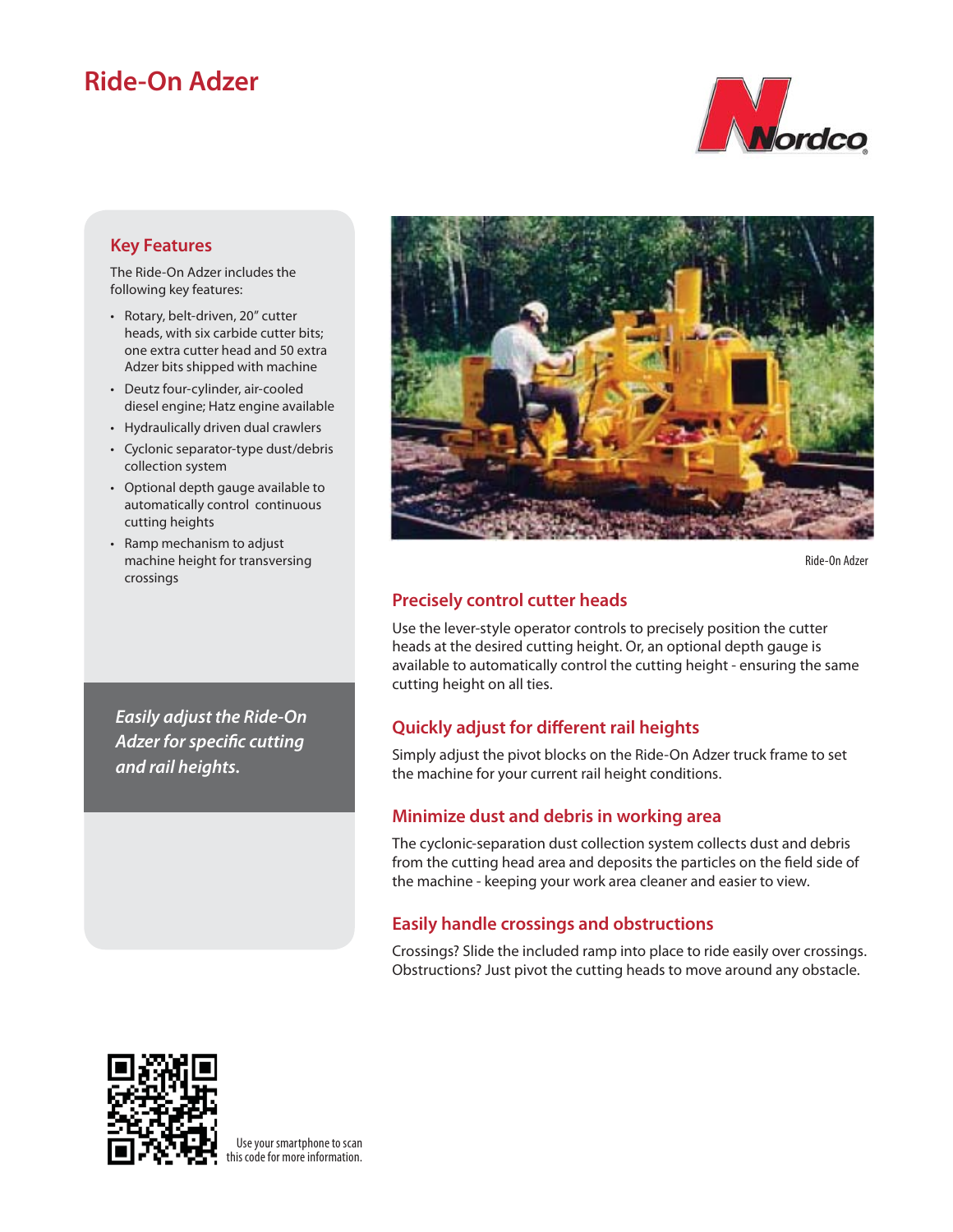# **Ride-On Adzer**



#### **Key Features**

The Ride-On Adzer includes the following key features:

- Rotary, belt-driven, 20" cutter heads, with six carbide cutter bits; one extra cutter head and 50 extra Adzer bits shipped with machine
- Deutz four-cylinder, air-cooled diesel engine; Hatz engine available
- Hydraulically driven dual crawlers
- Cyclonic separator-type dust/debris collection system
- Optional depth gauge available to automatically control continuous cutting heights
- Ramp mechanism to adjust machine height for transversing crossings

*Easily adjust the Ride-On*  **Adzer for specific cutting** *and rail heights.*



Ride-On Adzer

## **Precisely control cutter heads**

Use the lever-style operator controls to precisely position the cutter heads at the desired cutting height. Or, an optional depth gauge is available to automatically control the cutting height - ensuring the same cutting height on all ties.

## **Quickly adjust for different rail heights**

Simply adjust the pivot blocks on the Ride-On Adzer truck frame to set the machine for your current rail height conditions.

#### **Minimize dust and debris in working area**

The cyclonic-separation dust collection system collects dust and debris from the cutting head area and deposits the particles on the field side of the machine - keeping your work area cleaner and easier to view.

## **Easily handle crossings and obstructions**

Crossings? Slide the included ramp into place to ride easily over crossings. Obstructions? Just pivot the cutting heads to move around any obstacle.



Use your smartphone to scan this code for more information.